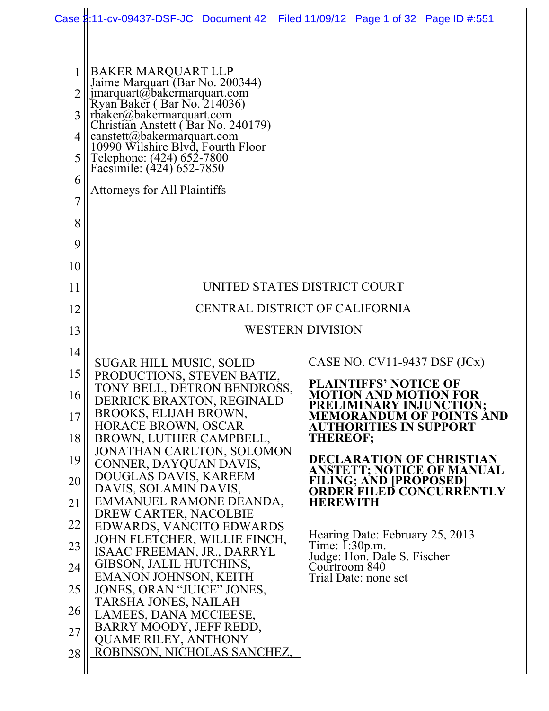|                                              | Case 2:11-cv-09437-DSF-JC Document 42 Filed 11/09/12 Page 1 of 32 Page ID #:551                                                                                                                                                                                                                                                                           |                                |                         |                                                   |                                                                                         |
|----------------------------------------------|-----------------------------------------------------------------------------------------------------------------------------------------------------------------------------------------------------------------------------------------------------------------------------------------------------------------------------------------------------------|--------------------------------|-------------------------|---------------------------------------------------|-----------------------------------------------------------------------------------------|
| 1<br>2<br>3<br>4<br>5<br>6<br>$\overline{7}$ | BAKER MARQUART LLP<br>Jaime Marquart (Bar No. 200344)<br>jmarquart@bakermarquart.com<br>Ryan Baker (Bar No. 214036)<br>rbaker@bakermarquart.com<br>Christian Anstett (Bar No. 240179)<br>canstett@bakermarquart.com<br>10990 Wilshire Blyd, Fourth Floor<br>Telephone: (424) 652-7800<br>Facsimile: (424) 652-7850<br><b>Attorneys for All Plaintiffs</b> |                                |                         |                                                   |                                                                                         |
| 8                                            |                                                                                                                                                                                                                                                                                                                                                           |                                |                         |                                                   |                                                                                         |
| 9                                            |                                                                                                                                                                                                                                                                                                                                                           |                                |                         |                                                   |                                                                                         |
| 10                                           |                                                                                                                                                                                                                                                                                                                                                           |                                |                         |                                                   |                                                                                         |
| 11                                           |                                                                                                                                                                                                                                                                                                                                                           | UNITED STATES DISTRICT COURT   |                         |                                                   |                                                                                         |
| 12                                           |                                                                                                                                                                                                                                                                                                                                                           | CENTRAL DISTRICT OF CALIFORNIA |                         |                                                   |                                                                                         |
| 13                                           |                                                                                                                                                                                                                                                                                                                                                           |                                | <b>WESTERN DIVISION</b> |                                                   |                                                                                         |
| 14                                           |                                                                                                                                                                                                                                                                                                                                                           |                                |                         |                                                   |                                                                                         |
| 15                                           | <b>SUGAR HILL MUSIC, SOLID</b><br>PRODUCTIONS, STEVEN BATIZ,                                                                                                                                                                                                                                                                                              |                                |                         | CASE NO. $CV11-9437$ DSF $(JCx)$                  |                                                                                         |
| 16                                           | TONY BELL, DETRON BENDROSS,<br>DERRICK BRAXTON, REGINALD                                                                                                                                                                                                                                                                                                  |                                |                         | NTIFFS' NOTICE OF<br><b>MOTION AND MOTION FOR</b> |                                                                                         |
| 17                                           | BROOKS, ELIJAH BROWN,                                                                                                                                                                                                                                                                                                                                     |                                |                         | PRELIMINARY INJUNCTION;                           | <b>MEMORANDUM OF POINTS AND</b>                                                         |
| 18                                           | HORACE BROWN, OSCAR<br>BROWN, LUTHER CAMPBELL,                                                                                                                                                                                                                                                                                                            |                                |                         | <b>AUTHORITIES IN SUPPORT</b><br><b>THEREOF;</b>  |                                                                                         |
| 19                                           | JONATHAN CARLTON, SOLOMON<br>CONNER, DAYQUAN DAVIS,                                                                                                                                                                                                                                                                                                       |                                |                         |                                                   | <b>DECLARATION OF CHRISTIAN</b>                                                         |
| 20                                           | DOUGLAS DAVIS, KAREEM                                                                                                                                                                                                                                                                                                                                     |                                |                         |                                                   | ANSTETT; NOTICE OF MANUAL<br><b>FILING; AND [PROPOSED]<br/>ORDER FILED CONCURRENTLY</b> |
| 21                                           | DAVIS, SOLAMIN DAVIS,<br>EMMANUEL RAMONE DEANDA,                                                                                                                                                                                                                                                                                                          |                                |                         | <b>HEREWITH</b>                                   |                                                                                         |
| 22                                           | DREW CARTER, NACOLBIE<br>EDWARDS, VANCITO EDWARDS                                                                                                                                                                                                                                                                                                         |                                |                         |                                                   |                                                                                         |
| 23                                           | JOHN FLETCHER, WILLIE FINCH,<br>ISAAC FREEMAN, JR., DARRYL                                                                                                                                                                                                                                                                                                |                                |                         | Hearing Date: February 25, 2013<br>Time: I:30p.m. |                                                                                         |
| 24                                           | GIBSON, JALIL HUTCHINS,                                                                                                                                                                                                                                                                                                                                   |                                |                         | Judge: Hon. Dale S. Fischer<br>Courtroom 840      |                                                                                         |
| 25                                           | <b>EMANON JOHNSON, KEITH</b><br>JONES, ORAN "JUICE" JONES,                                                                                                                                                                                                                                                                                                |                                |                         | Trial Date: none set                              |                                                                                         |
| 26                                           | TARSHA JONES, NAILAH                                                                                                                                                                                                                                                                                                                                      |                                |                         |                                                   |                                                                                         |
| 27                                           | LAMEES, DANA MCCIEESE,<br>BARRY MOODY, JEFF REDD,                                                                                                                                                                                                                                                                                                         |                                |                         |                                                   |                                                                                         |
| 28                                           | <b>QUAME RILEY, ANTHONY</b><br>ROBINSON, NICHOLAS SANCHEZ,                                                                                                                                                                                                                                                                                                |                                |                         |                                                   |                                                                                         |
|                                              |                                                                                                                                                                                                                                                                                                                                                           |                                |                         |                                                   |                                                                                         |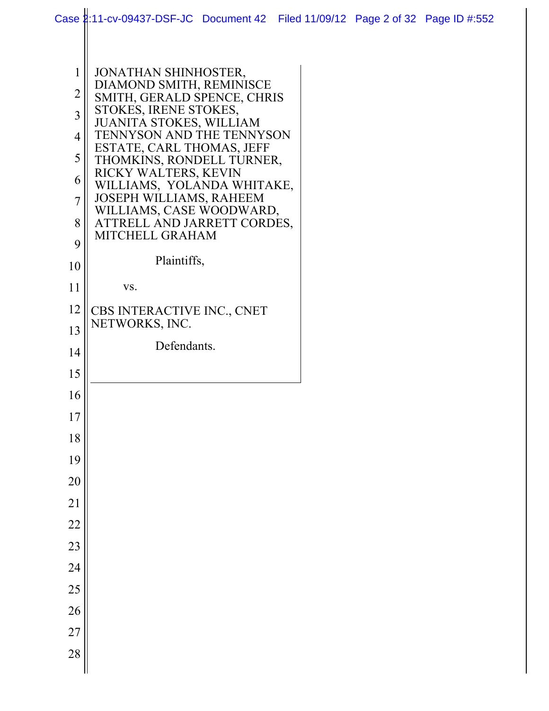|                | Case 1:11-cv-09437-DSF-JC Document 42 Filed 11/09/12 Page 2 of 32 Page ID #:552 |  |  |
|----------------|---------------------------------------------------------------------------------|--|--|
|                |                                                                                 |  |  |
|                |                                                                                 |  |  |
| $\mathbf{1}$   | JONATHAN SHINHOSTER,                                                            |  |  |
| $\overline{2}$ | DIAMOND SMITH, REMINISCE<br>SMITH, GERALD SPENCE, CHRIS                         |  |  |
| $\overline{3}$ | STOKES, IRENE STOKES,                                                           |  |  |
| $\overline{4}$ | JUANITA STOKES, WILLIAM<br>TENNYSON AND THE TENNYSON                            |  |  |
| 5              | ESTATE, CARL THOMAS, JEFF                                                       |  |  |
|                | THOMKINS, RONDELL TURNER,<br>RICKY WALTERS, KEVIN                               |  |  |
| 6              | WILLIAMS, YOLANDA WHITAKE,                                                      |  |  |
| $\overline{7}$ | JOSEPH WILLIAMS, RAHEEM<br>WILLIAMS, CASE WOODWARD,                             |  |  |
| 8              | ATTRELL AND JARRETT CORDES,                                                     |  |  |
| 9              | MITCHELL GRAHAM                                                                 |  |  |
| 10             | Plaintiffs,                                                                     |  |  |
| 11             | VS.                                                                             |  |  |
| 12             |                                                                                 |  |  |
|                | CBS INTERACTIVE INC., CNET<br>NETWORKS, INC.                                    |  |  |
| 13             | Defendants.                                                                     |  |  |
| 14             |                                                                                 |  |  |
| 15             |                                                                                 |  |  |
| 16             |                                                                                 |  |  |
| 17             |                                                                                 |  |  |
| 18             |                                                                                 |  |  |
| 19             |                                                                                 |  |  |
| 20             |                                                                                 |  |  |
| 21             |                                                                                 |  |  |
| 22             |                                                                                 |  |  |
| 23             |                                                                                 |  |  |
| 24             |                                                                                 |  |  |
| 25             |                                                                                 |  |  |
| 26             |                                                                                 |  |  |
|                |                                                                                 |  |  |
| 27             |                                                                                 |  |  |
| 28             |                                                                                 |  |  |
|                |                                                                                 |  |  |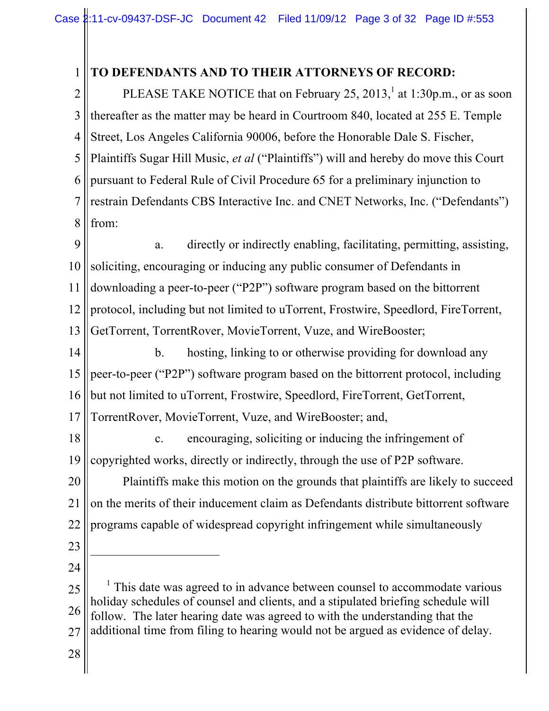#### 1 **TO DEFENDANTS AND TO THEIR ATTORNEYS OF RECORD:**

2 3 4 5 6 7 8 PLEASE TAKE NOTICE that on February 25, 2013,<sup>1</sup> at 1:30p.m., or as soon thereafter as the matter may be heard in Courtroom 840, located at 255 E. Temple Street, Los Angeles California 90006, before the Honorable Dale S. Fischer, Plaintiffs Sugar Hill Music, *et al* ("Plaintiffs") will and hereby do move this Court pursuant to Federal Rule of Civil Procedure 65 for a preliminary injunction to restrain Defendants CBS Interactive Inc. and CNET Networks, Inc. ("Defendants") from:

9 10 11 12 13 a. directly or indirectly enabling, facilitating, permitting, assisting, soliciting, encouraging or inducing any public consumer of Defendants in downloading a peer-to-peer ("P2P") software program based on the bittorrent protocol, including but not limited to uTorrent, Frostwire, Speedlord, FireTorrent, GetTorrent, TorrentRover, MovieTorrent, Vuze, and WireBooster;

14 15 16 17 b. hosting, linking to or otherwise providing for download any peer-to-peer ("P2P") software program based on the bittorrent protocol, including but not limited to uTorrent, Frostwire, Speedlord, FireTorrent, GetTorrent, TorrentRover, MovieTorrent, Vuze, and WireBooster; and,

18 19 c. encouraging, soliciting or inducing the infringement of copyrighted works, directly or indirectly, through the use of P2P software.

20 21 22 Plaintiffs make this motion on the grounds that plaintiffs are likely to succeed on the merits of their inducement claim as Defendants distribute bittorrent software programs capable of widespread copyright infringement while simultaneously

23

 $\overline{a}$ 

24

25 26 27 <sup>1</sup> This date was agreed to in advance between counsel to accommodate various holiday schedules of counsel and clients, and a stipulated briefing schedule will follow. The later hearing date was agreed to with the understanding that the additional time from filing to hearing would not be argued as evidence of delay.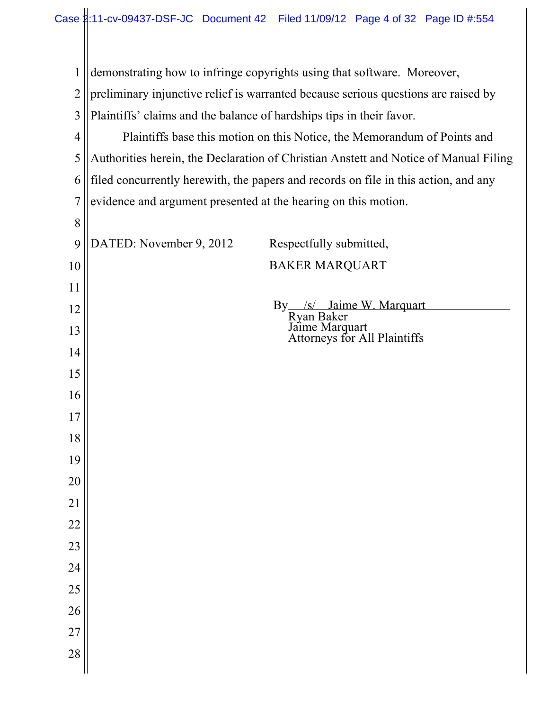| $\mathbf{1}$   | demonstrating how to infringe copyrights using that software. Moreover,              |  |  |
|----------------|--------------------------------------------------------------------------------------|--|--|
| $\overline{2}$ | preliminary injunctive relief is warranted because serious questions are raised by   |  |  |
| 3              | Plaintiffs' claims and the balance of hardships tips in their favor.                 |  |  |
| 4              | Plaintiffs base this motion on this Notice, the Memorandum of Points and             |  |  |
| 5              | Authorities herein, the Declaration of Christian Anstett and Notice of Manual Filing |  |  |
| 6              | filed concurrently herewith, the papers and records on file in this action, and any  |  |  |
| 7              | evidence and argument presented at the hearing on this motion.                       |  |  |
| 8              |                                                                                      |  |  |
| 9              | DATED: November 9, 2012<br>Respectfully submitted,                                   |  |  |
| 10             | <b>BAKER MARQUART</b>                                                                |  |  |
| 11             |                                                                                      |  |  |
| 12             | By /s/ Jaime W. Marquart                                                             |  |  |
| 13             | Ryan Baker<br>Jaime Marquart<br>Attorneys for All Plaintiffs                         |  |  |
| 14             |                                                                                      |  |  |
| 15             |                                                                                      |  |  |
| 16             |                                                                                      |  |  |
| 17             |                                                                                      |  |  |
| 18             |                                                                                      |  |  |
| 19             |                                                                                      |  |  |
| 20             |                                                                                      |  |  |
| 21             |                                                                                      |  |  |
| 22             |                                                                                      |  |  |
| 23             |                                                                                      |  |  |
| 24             |                                                                                      |  |  |
| 25             |                                                                                      |  |  |
| 26             |                                                                                      |  |  |
| 27             |                                                                                      |  |  |
| 28             |                                                                                      |  |  |
|                |                                                                                      |  |  |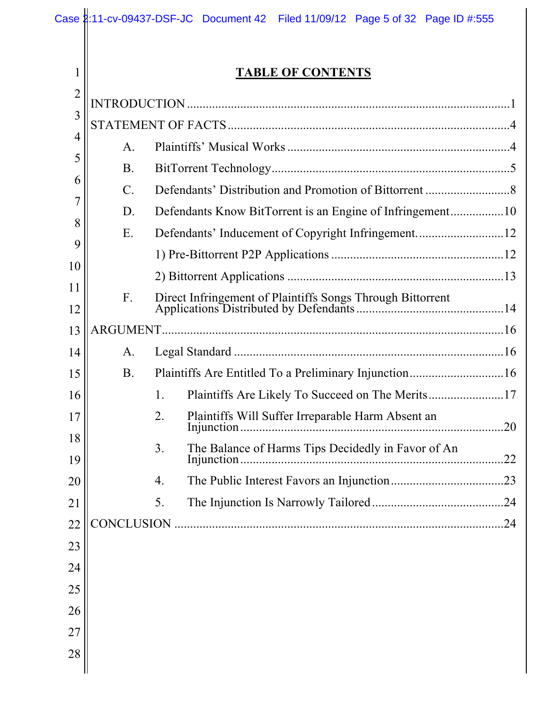|                |                 | Case 1:11-cv-09437-DSF-JC Document 42 Filed 11/09/12 Page 5 of 32 Page ID #:555 |     |  |  |
|----------------|-----------------|---------------------------------------------------------------------------------|-----|--|--|
|                |                 |                                                                                 |     |  |  |
| $\mathbf{1}$   |                 | <b>TABLE OF CONTENTS</b>                                                        |     |  |  |
| $\overline{2}$ |                 |                                                                                 |     |  |  |
| 3              |                 |                                                                                 |     |  |  |
| $\overline{4}$ | A.              |                                                                                 |     |  |  |
| 5              | <b>B.</b>       |                                                                                 |     |  |  |
| 6              | $\mathcal{C}$ . |                                                                                 |     |  |  |
| 7<br>8         | D.              |                                                                                 |     |  |  |
| 9              | E.              |                                                                                 |     |  |  |
| 10             |                 |                                                                                 |     |  |  |
| 11             |                 |                                                                                 |     |  |  |
| 12             | $F_{\cdot}$     |                                                                                 |     |  |  |
| 13             |                 |                                                                                 |     |  |  |
| 14             | A.              |                                                                                 |     |  |  |
| 15             | <b>B.</b>       |                                                                                 |     |  |  |
| 16             |                 | 1.                                                                              |     |  |  |
| 17             |                 | Plaintiffs Will Suffer Irreparable Harm Absent an<br>2.<br>Injunction.          | .20 |  |  |
| 18<br>19       |                 | The Balance of Harms Tips Decidedly in Favor of An<br>3.<br>Injunction.         | .22 |  |  |
| 20             |                 | 4.                                                                              |     |  |  |
| 21             |                 | 5.                                                                              |     |  |  |
| 22             |                 |                                                                                 | .24 |  |  |
| 23             |                 |                                                                                 |     |  |  |
| 24             |                 |                                                                                 |     |  |  |
| 25             |                 |                                                                                 |     |  |  |
| 26             |                 |                                                                                 |     |  |  |
| 27             |                 |                                                                                 |     |  |  |
| 28             |                 |                                                                                 |     |  |  |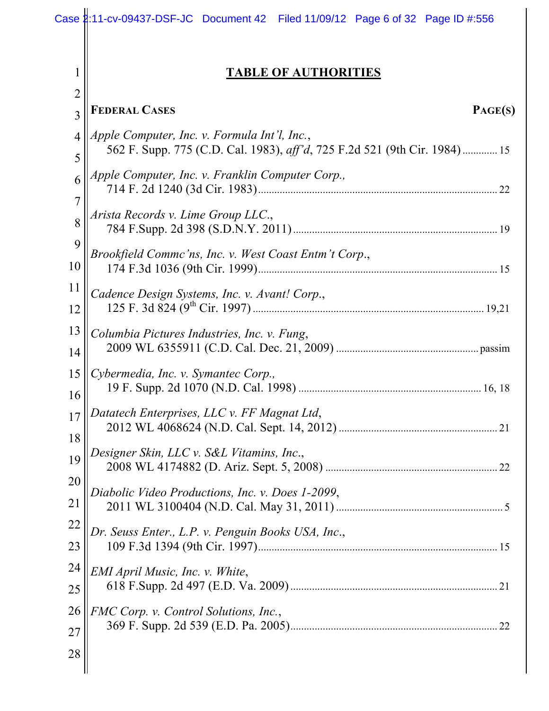|                | Case 2:11-cv-09437-DSF-JC Document 42 Filed 11/09/12 Page 6 of 32 Page ID #:556   |
|----------------|-----------------------------------------------------------------------------------|
| 1              | <b>TABLE OF AUTHORITIES</b>                                                       |
| $\overline{2}$ |                                                                                   |
| $\overline{3}$ | <b>FEDERAL CASES</b><br>PAGE(S)                                                   |
| $\overline{4}$ | Apple Computer, Inc. v. Formula Int'l, Inc.,                                      |
| 5              | 562 F. Supp. 775 (C.D. Cal. 1983), <i>aff'd</i> , 725 F.2d 521 (9th Cir. 1984) 15 |
| 6              | Apple Computer, Inc. v. Franklin Computer Corp.,                                  |
| $\overline{7}$ | Arista Records v. Lime Group LLC.,                                                |
| 8              |                                                                                   |
| 9              | Brookfield Commc'ns, Inc. v. West Coast Entm't Corp.,                             |
| 10             |                                                                                   |
| 11             | Cadence Design Systems, Inc. v. Avant! Corp.,                                     |
| 12             |                                                                                   |
| 13             | Columbia Pictures Industries, Inc. v. Fung,                                       |
| 14             |                                                                                   |
| 15             | Cybermedia, Inc. v. Symantec Corp.,                                               |
| 16             |                                                                                   |
| 17             | Datatech Enterprises, LLC v. FF Magnat Ltd,                                       |
| 18             | Designer Skin, LLC v. S&L Vitamins, Inc.,                                         |
| 19             |                                                                                   |
| 20             | Diabolic Video Productions, Inc. v. Does 1-2099,                                  |
| 21             |                                                                                   |
| 22             | Dr. Seuss Enter., L.P. v. Penguin Books USA, Inc.,                                |
| 23             |                                                                                   |
| 24             | EMI April Music, Inc. v. White,                                                   |
| 25             |                                                                                   |
| 26             | FMC Corp. v. Control Solutions, Inc.,                                             |
| 27             |                                                                                   |
| 28             |                                                                                   |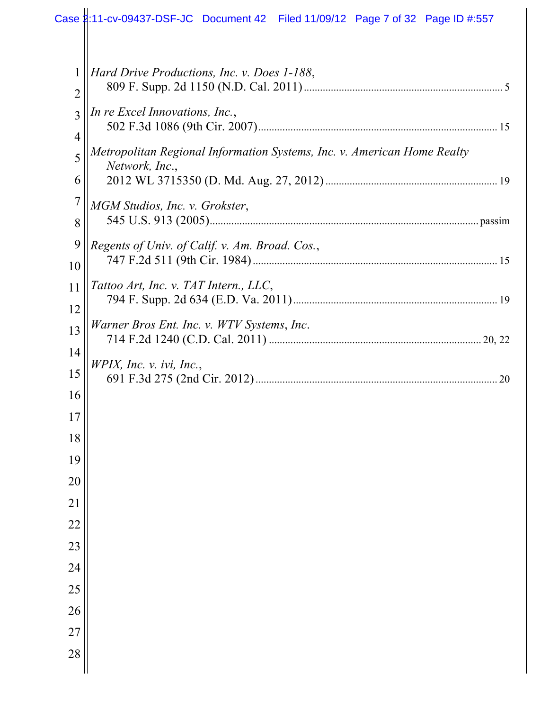|                     | Case 2:11-cv-09437-DSF-JC Document 42 Filed 11/09/12 Page 7 of 32 Page ID #:557           |
|---------------------|-------------------------------------------------------------------------------------------|
|                     |                                                                                           |
| 1<br>$\overline{2}$ | Hard Drive Productions, Inc. v. Does 1-188,                                               |
| 3<br>$\overline{4}$ | In re Excel Innovations, Inc.,                                                            |
| 5                   | Metropolitan Regional Information Systems, Inc. v. American Home Realty<br>Network, Inc., |
| 6<br>$\overline{7}$ |                                                                                           |
| 8                   | MGM Studios, Inc. v. Grokster,                                                            |
| 9<br>10             | Regents of Univ. of Calif. v. Am. Broad. Cos.,                                            |
| 11<br>12            | Tattoo Art, Inc. v. TAT Intern., LLC,                                                     |
| 13                  | Warner Bros Ent. Inc. v. WTV Systems, Inc.                                                |
| 14<br>15            | $W$ PIX, Inc. v. ivi, Inc.,                                                               |
| 16                  |                                                                                           |
| 17<br>18            |                                                                                           |
| 19                  |                                                                                           |
| 20<br>21            |                                                                                           |
| $22\,$              |                                                                                           |
| 23<br>24            |                                                                                           |
| 25                  |                                                                                           |
| 26                  |                                                                                           |
| 27<br>28            |                                                                                           |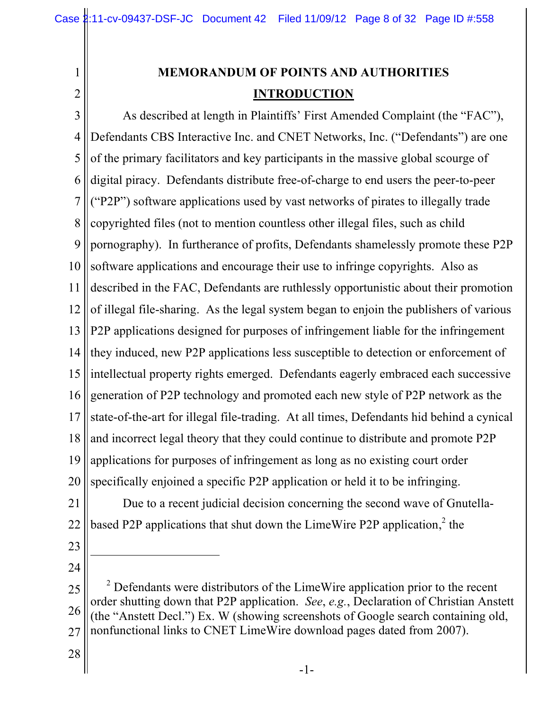1 2

# **MEMORANDUM OF POINTS AND AUTHORITIES INTRODUCTION**

3 4 5 6 7 8 9 10 11 12 13 14 15 16 17 18 19 20 As described at length in Plaintiffs' First Amended Complaint (the "FAC"), Defendants CBS Interactive Inc. and CNET Networks, Inc. ("Defendants") are one of the primary facilitators and key participants in the massive global scourge of digital piracy. Defendants distribute free-of-charge to end users the peer-to-peer ("P2P") software applications used by vast networks of pirates to illegally trade copyrighted files (not to mention countless other illegal files, such as child pornography). In furtherance of profits, Defendants shamelessly promote these P2P software applications and encourage their use to infringe copyrights. Also as described in the FAC, Defendants are ruthlessly opportunistic about their promotion of illegal file-sharing. As the legal system began to enjoin the publishers of various P2P applications designed for purposes of infringement liable for the infringement they induced, new P2P applications less susceptible to detection or enforcement of intellectual property rights emerged. Defendants eagerly embraced each successive generation of P2P technology and promoted each new style of P2P network as the state-of-the-art for illegal file-trading. At all times, Defendants hid behind a cynical and incorrect legal theory that they could continue to distribute and promote P2P applications for purposes of infringement as long as no existing court order specifically enjoined a specific P2P application or held it to be infringing.

21 22 Due to a recent judicial decision concerning the second wave of Gnutellabased P2P applications that shut down the LimeWire P2P application,<sup>2</sup> the

23

 $\overline{a}$ 

24

<sup>25</sup> 26 27  $2^2$  Defendants were distributors of the LimeWire application prior to the recent order shutting down that P2P application. *See*, *e.g.*, Declaration of Christian Anstett (the "Anstett Decl.") Ex. W (showing screenshots of Google search containing old, nonfunctional links to CNET LimeWire download pages dated from 2007).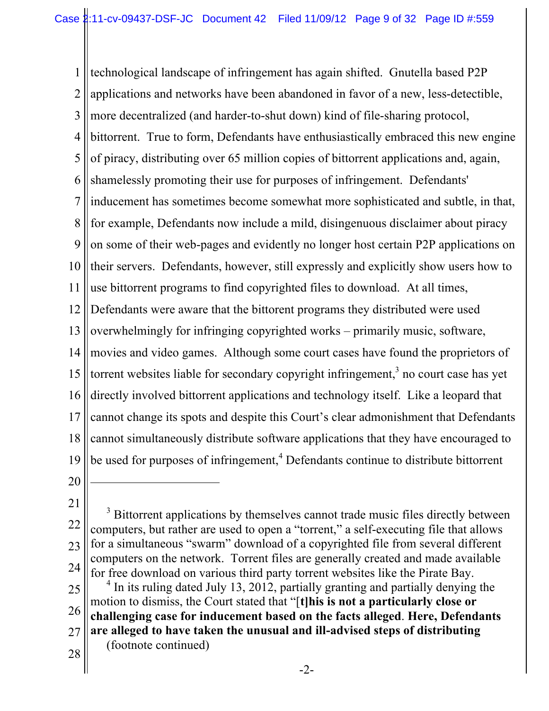1 2 3 4 5 6 7 8 9 10 11 12 13 14 15 16 17 18 19 technological landscape of infringement has again shifted. Gnutella based P2P applications and networks have been abandoned in favor of a new, less-detectible, more decentralized (and harder-to-shut down) kind of file-sharing protocol, bittorrent. True to form, Defendants have enthusiastically embraced this new engine of piracy, distributing over 65 million copies of bittorrent applications and, again, shamelessly promoting their use for purposes of infringement. Defendants' inducement has sometimes become somewhat more sophisticated and subtle, in that, for example, Defendants now include a mild, disingenuous disclaimer about piracy on some of their web-pages and evidently no longer host certain P2P applications on their servers. Defendants, however, still expressly and explicitly show users how to use bittorrent programs to find copyrighted files to download. At all times, Defendants were aware that the bittorent programs they distributed were used overwhelmingly for infringing copyrighted works – primarily music, software, movies and video games. Although some court cases have found the proprietors of torrent websites liable for secondary copyright infringement,<sup>3</sup> no court case has yet directly involved bittorrent applications and technology itself. Like a leopard that cannot change its spots and despite this Court's clear admonishment that Defendants cannot simultaneously distribute software applications that they have encouraged to be used for purposes of infringement,<sup>4</sup> Defendants continue to distribute bittorrent

20

 $\overline{a}$ 

21

22 23 24 25 <sup>3</sup> Bittorrent applications by themselves cannot trade music files directly between computers, but rather are used to open a "torrent," a self-executing file that allows for a simultaneous "swarm" download of a copyrighted file from several different computers on the network. Torrent files are generally created and made available for free download on various third party torrent websites like the Pirate Bay.  $4$  In its ruling dated July 13, 2012, partially granting and partially denying the

26 motion to dismiss, the Court stated that "[**t]his is not a particularly close or challenging case for inducement based on the facts alleged**. **Here, Defendants** 

- 27 **are alleged to have taken the unusual and ill-advised steps of distributing**  (footnote continued)
- 28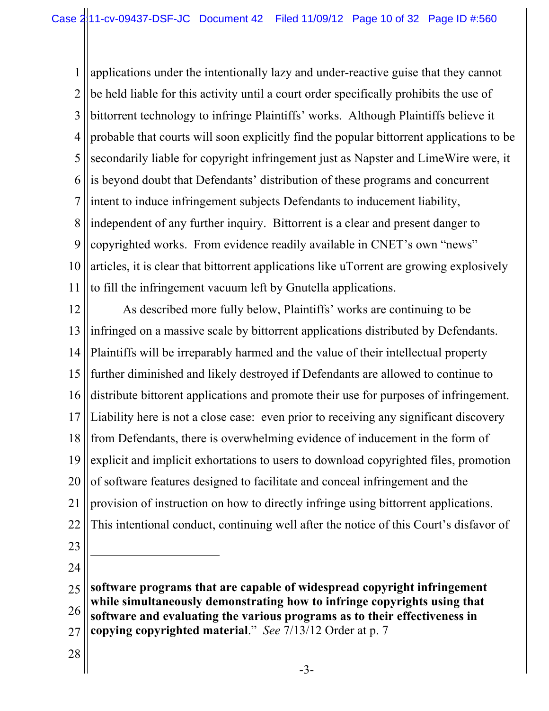1 2 3 4 5 6 7 8 9 10 11 applications under the intentionally lazy and under-reactive guise that they cannot be held liable for this activity until a court order specifically prohibits the use of bittorrent technology to infringe Plaintiffs' works. Although Plaintiffs believe it probable that courts will soon explicitly find the popular bittorrent applications to be secondarily liable for copyright infringement just as Napster and LimeWire were, it is beyond doubt that Defendants' distribution of these programs and concurrent intent to induce infringement subjects Defendants to inducement liability, independent of any further inquiry. Bittorrent is a clear and present danger to copyrighted works. From evidence readily available in CNET's own "news" articles, it is clear that bittorrent applications like uTorrent are growing explosively to fill the infringement vacuum left by Gnutella applications.

12 13 14 15 16 17 18 19 20 21 22 23 As described more fully below, Plaintiffs' works are continuing to be infringed on a massive scale by bittorrent applications distributed by Defendants. Plaintiffs will be irreparably harmed and the value of their intellectual property further diminished and likely destroyed if Defendants are allowed to continue to distribute bittorent applications and promote their use for purposes of infringement. Liability here is not a close case: even prior to receiving any significant discovery from Defendants, there is overwhelming evidence of inducement in the form of explicit and implicit exhortations to users to download copyrighted files, promotion of software features designed to facilitate and conceal infringement and the provision of instruction on how to directly infringe using bittorrent applications. This intentional conduct, continuing well after the notice of this Court's disfavor of

24

 $\overline{a}$ 

 $25$ 26 27 **software programs that are capable of widespread copyright infringement while simultaneously demonstrating how to infringe copyrights using that software and evaluating the various programs as to their effectiveness in copying copyrighted material**." *See* 7/13/12 Order at p. 7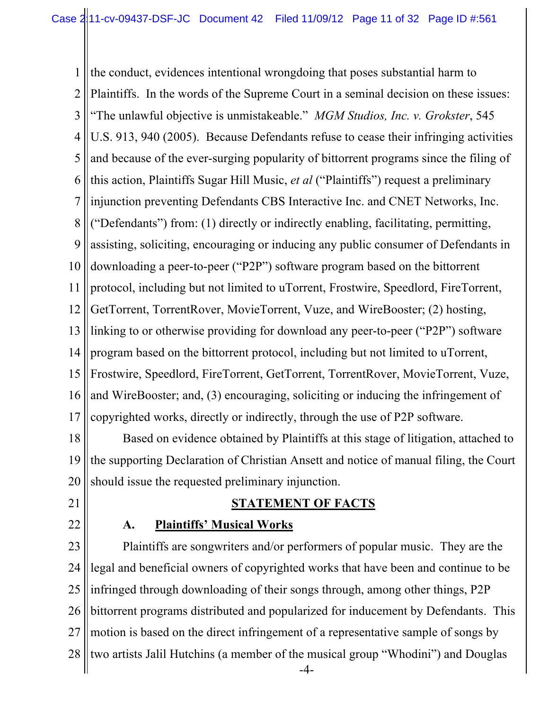1 2 3 4 5 6 7 8 9 10 11 12 13 14 15 16 17 the conduct, evidences intentional wrongdoing that poses substantial harm to Plaintiffs. In the words of the Supreme Court in a seminal decision on these issues: "The unlawful objective is unmistakeable." *MGM Studios, Inc. v. Grokster*, 545 U.S. 913, 940 (2005). Because Defendants refuse to cease their infringing activities and because of the ever-surging popularity of bittorrent programs since the filing of this action, Plaintiffs Sugar Hill Music, *et al* ("Plaintiffs") request a preliminary injunction preventing Defendants CBS Interactive Inc. and CNET Networks, Inc. ("Defendants") from: (1) directly or indirectly enabling, facilitating, permitting, assisting, soliciting, encouraging or inducing any public consumer of Defendants in downloading a peer-to-peer ("P2P") software program based on the bittorrent protocol, including but not limited to uTorrent, Frostwire, Speedlord, FireTorrent, GetTorrent, TorrentRover, MovieTorrent, Vuze, and WireBooster; (2) hosting, linking to or otherwise providing for download any peer-to-peer ("P2P") software program based on the bittorrent protocol, including but not limited to uTorrent, Frostwire, Speedlord, FireTorrent, GetTorrent, TorrentRover, MovieTorrent, Vuze, and WireBooster; and, (3) encouraging, soliciting or inducing the infringement of copyrighted works, directly or indirectly, through the use of P2P software.

18 19 20 Based on evidence obtained by Plaintiffs at this stage of litigation, attached to the supporting Declaration of Christian Ansett and notice of manual filing, the Court should issue the requested preliminary injunction.

- 21
- 22

# **STATEMENT OF FACTS**

### **A. Plaintiffs' Musical Works**

23 24 25 26 27 28  $-4-$ Plaintiffs are songwriters and/or performers of popular music. They are the legal and beneficial owners of copyrighted works that have been and continue to be infringed through downloading of their songs through, among other things, P2P bittorrent programs distributed and popularized for inducement by Defendants. This motion is based on the direct infringement of a representative sample of songs by two artists Jalil Hutchins (a member of the musical group "Whodini") and Douglas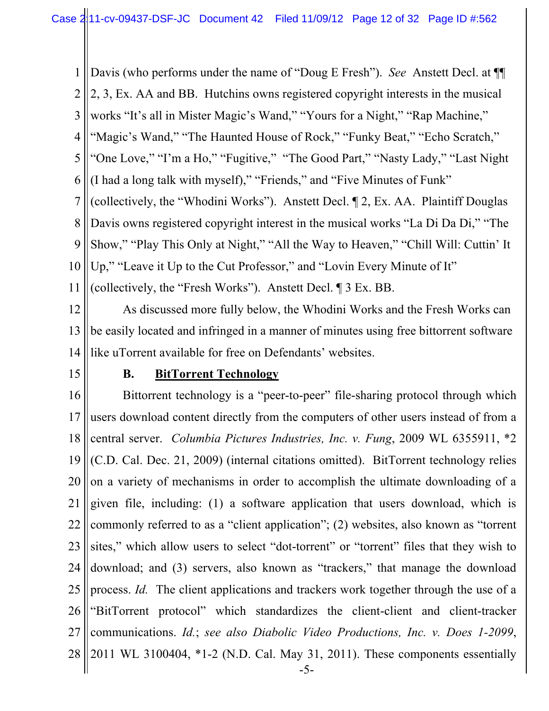1 2 Davis (who performs under the name of "Doug E Fresh"). *See* Anstett Decl. at ¶¶ 2, 3, Ex. AA and BB. Hutchins owns registered copyright interests in the musical

3 works "It's all in Mister Magic's Wand," "Yours for a Night," "Rap Machine,"

4 "Magic's Wand," "The Haunted House of Rock," "Funky Beat," "Echo Scratch,"

5 "One Love," "I'm a Ho," "Fugitive," "The Good Part," "Nasty Lady," "Last Night

6 (I had a long talk with myself)," "Friends," and "Five Minutes of Funk"

7 8 (collectively, the "Whodini Works"). Anstett Decl. ¶ 2, Ex. AA. Plaintiff Douglas Davis owns registered copyright interest in the musical works "La Di Da Di," "The

9 Show," "Play This Only at Night," "All the Way to Heaven," "Chill Will: Cuttin' It

10 Up," "Leave it Up to the Cut Professor," and "Lovin Every Minute of It"

11 (collectively, the "Fresh Works"). Anstett Decl. ¶ 3 Ex. BB.

12 13 14 As discussed more fully below, the Whodini Works and the Fresh Works can be easily located and infringed in a manner of minutes using free bittorrent software like uTorrent available for free on Defendants' websites.

15

### **B. BitTorrent Technology**

16 17 18 19 20 21 22 23 24 25 26 27 28  $-5-$ Bittorrent technology is a "peer-to-peer" file-sharing protocol through which users download content directly from the computers of other users instead of from a central server. *Columbia Pictures Industries, Inc. v. Fung*, 2009 WL 6355911, \*2 (C.D. Cal. Dec. 21, 2009) (internal citations omitted). BitTorrent technology relies on a variety of mechanisms in order to accomplish the ultimate downloading of a given file, including: (1) a software application that users download, which is commonly referred to as a "client application"; (2) websites, also known as "torrent sites," which allow users to select "dot-torrent" or "torrent" files that they wish to download; and (3) servers, also known as "trackers," that manage the download process. *Id.* The client applications and trackers work together through the use of a "BitTorrent protocol" which standardizes the client-client and client-tracker communications. *Id.*; *see also Diabolic Video Productions, Inc. v. Does 1-2099*, 2011 WL 3100404, \*1-2 (N.D. Cal. May 31, 2011). These components essentially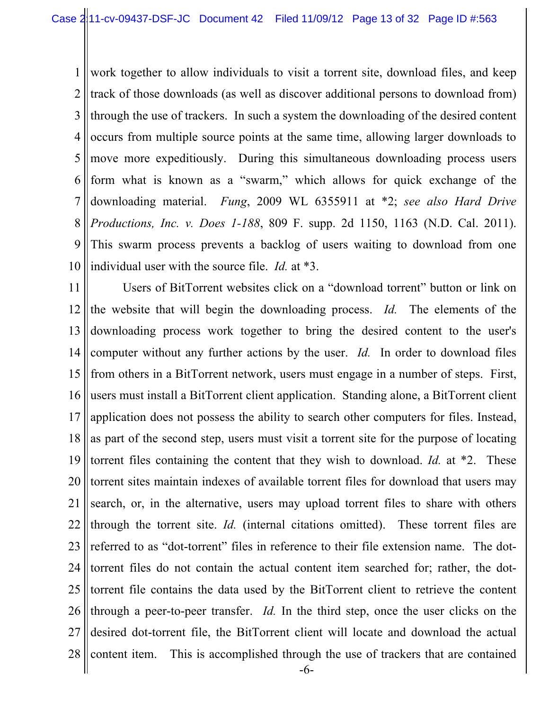1 2 3 4 5 6 7 8 9 10 work together to allow individuals to visit a torrent site, download files, and keep track of those downloads (as well as discover additional persons to download from) through the use of trackers. In such a system the downloading of the desired content occurs from multiple source points at the same time, allowing larger downloads to move more expeditiously. During this simultaneous downloading process users form what is known as a "swarm," which allows for quick exchange of the downloading material. *Fung*, 2009 WL 6355911 at \*2; *see also Hard Drive Productions, Inc. v. Does 1-188*, 809 F. supp. 2d 1150, 1163 (N.D. Cal. 2011). This swarm process prevents a backlog of users waiting to download from one individual user with the source file. *Id.* at \*3.

11 12 13 14 15 16 17 18 19 20 21 22 23 24 25 26 27 28 Users of BitTorrent websites click on a "download torrent" button or link on the website that will begin the downloading process. *Id.* The elements of the downloading process work together to bring the desired content to the user's computer without any further actions by the user. *Id.* In order to download files from others in a BitTorrent network, users must engage in a number of steps. First, users must install a BitTorrent client application. Standing alone, a BitTorrent client application does not possess the ability to search other computers for files. Instead, as part of the second step, users must visit a torrent site for the purpose of locating torrent files containing the content that they wish to download. *Id.* at \*2. These torrent sites maintain indexes of available torrent files for download that users may search, or, in the alternative, users may upload torrent files to share with others through the torrent site. *Id.* (internal citations omitted). These torrent files are referred to as "dot-torrent" files in reference to their file extension name. The dottorrent files do not contain the actual content item searched for; rather, the dottorrent file contains the data used by the BitTorrent client to retrieve the content through a peer-to-peer transfer. *Id.* In the third step, once the user clicks on the desired dot-torrent file, the BitTorrent client will locate and download the actual content item. This is accomplished through the use of trackers that are contained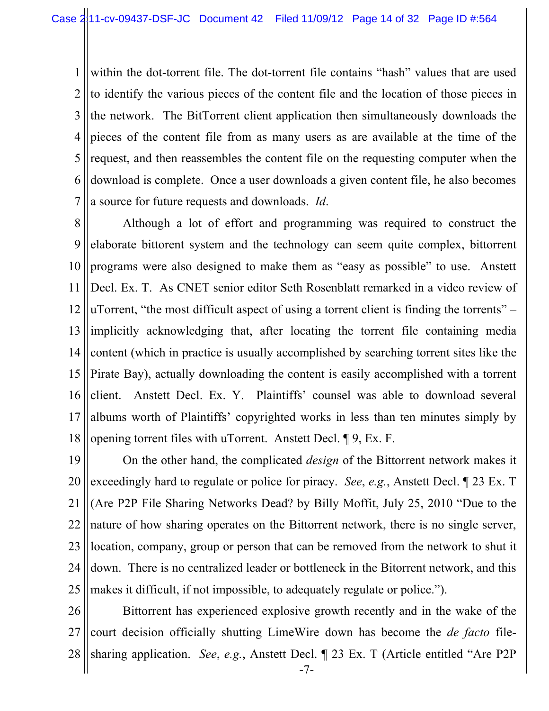1 2 3 4 5 6 7 within the dot-torrent file. The dot-torrent file contains "hash" values that are used to identify the various pieces of the content file and the location of those pieces in the network. The BitTorrent client application then simultaneously downloads the pieces of the content file from as many users as are available at the time of the request, and then reassembles the content file on the requesting computer when the download is complete. Once a user downloads a given content file, he also becomes a source for future requests and downloads. *Id*.

8 9 10 11 12 13 14 15 16 17 18 Although a lot of effort and programming was required to construct the elaborate bittorent system and the technology can seem quite complex, bittorrent programs were also designed to make them as "easy as possible" to use. Anstett Decl. Ex. T. As CNET senior editor Seth Rosenblatt remarked in a video review of uTorrent, "the most difficult aspect of using a torrent client is finding the torrents" – implicitly acknowledging that, after locating the torrent file containing media content (which in practice is usually accomplished by searching torrent sites like the Pirate Bay), actually downloading the content is easily accomplished with a torrent client. Anstett Decl. Ex. Y. Plaintiffs' counsel was able to download several albums worth of Plaintiffs' copyrighted works in less than ten minutes simply by opening torrent files with uTorrent. Anstett Decl. ¶ 9, Ex. F.

19 20 21 22 23 24 25 On the other hand, the complicated *design* of the Bittorrent network makes it exceedingly hard to regulate or police for piracy. *See*, *e.g.*, Anstett Decl. ¶ 23 Ex. T (Are P2P File Sharing Networks Dead? by Billy Moffit, July 25, 2010 "Due to the nature of how sharing operates on the Bittorrent network, there is no single server, location, company, group or person that can be removed from the network to shut it down. There is no centralized leader or bottleneck in the Bitorrent network, and this makes it difficult, if not impossible, to adequately regulate or police.").

26 27 28 sharing application. *See*, *e.g.*, Anstett Decl. ¶ 23 Ex. T (Article entitled "Are P2P Bittorrent has experienced explosive growth recently and in the wake of the court decision officially shutting LimeWire down has become the *de facto* file-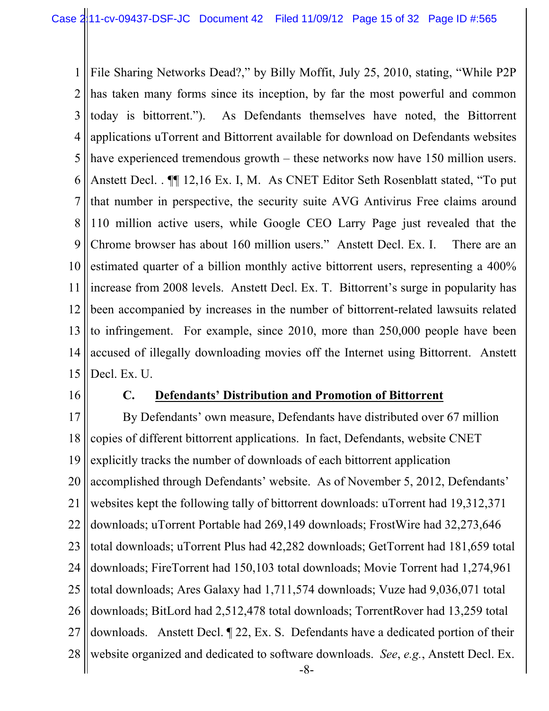1 2 3 4 5 6 7 8 9 10 11 12 13 14 15 File Sharing Networks Dead?," by Billy Moffit, July 25, 2010, stating, "While P2P has taken many forms since its inception, by far the most powerful and common today is bittorrent."). As Defendants themselves have noted, the Bittorrent applications uTorrent and Bittorrent available for download on Defendants websites have experienced tremendous growth – these networks now have 150 million users. Anstett Decl. . ¶¶ 12,16 Ex. I, M. As CNET Editor Seth Rosenblatt stated, "To put that number in perspective, the security suite AVG Antivirus Free claims around 110 million active users, while Google CEO Larry Page just revealed that the Chrome browser has about 160 million users." Anstett Decl. Ex. I. There are an estimated quarter of a billion monthly active bittorrent users, representing a 400% increase from 2008 levels. Anstett Decl. Ex. T. Bittorrent's surge in popularity has been accompanied by increases in the number of bittorrent-related lawsuits related to infringement. For example, since 2010, more than 250,000 people have been accused of illegally downloading movies off the Internet using Bittorrent. Anstett Decl. Ex. U.

16

### **C. Defendants' Distribution and Promotion of Bittorrent**

17 18 19 20 21 22 23 24 25 26 27 28  $-8-$ By Defendants' own measure, Defendants have distributed over 67 million copies of different bittorrent applications. In fact, Defendants, website CNET explicitly tracks the number of downloads of each bittorrent application accomplished through Defendants' website. As of November 5, 2012, Defendants' websites kept the following tally of bittorrent downloads: uTorrent had 19,312,371 downloads; uTorrent Portable had 269,149 downloads; FrostWire had 32,273,646 total downloads; uTorrent Plus had 42,282 downloads; GetTorrent had 181,659 total downloads; FireTorrent had 150,103 total downloads; Movie Torrent had 1,274,961 total downloads; Ares Galaxy had 1,711,574 downloads; Vuze had 9,036,071 total downloads; BitLord had 2,512,478 total downloads; TorrentRover had 13,259 total downloads. Anstett Decl. ¶ 22, Ex. S. Defendants have a dedicated portion of their website organized and dedicated to software downloads. *See*, *e.g.*, Anstett Decl. Ex.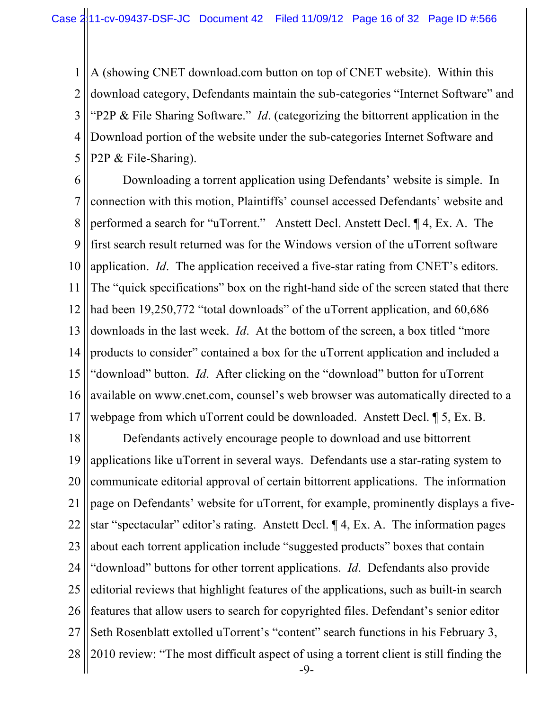1 2 3 4 5 A (showing CNET download.com button on top of CNET website). Within this download category, Defendants maintain the sub-categories "Internet Software" and "P2P & File Sharing Software." *Id*. (categorizing the bittorrent application in the Download portion of the website under the sub-categories Internet Software and P2P & File-Sharing).

6 7 8 9 10 11 12 13 14 15 16 17 Downloading a torrent application using Defendants' website is simple. In connection with this motion, Plaintiffs' counsel accessed Defendants' website and performed a search for "uTorrent." Anstett Decl. Anstett Decl. ¶ 4, Ex. A. The first search result returned was for the Windows version of the uTorrent software application. *Id*. The application received a five-star rating from CNET's editors. The "quick specifications" box on the right-hand side of the screen stated that there had been 19,250,772 "total downloads" of the uTorrent application, and 60,686 downloads in the last week. *Id*. At the bottom of the screen, a box titled "more products to consider" contained a box for the uTorrent application and included a "download" button. *Id*. After clicking on the "download" button for uTorrent available on www.cnet.com, counsel's web browser was automatically directed to a webpage from which uTorrent could be downloaded. Anstett Decl. ¶ 5, Ex. B.

18 19 20 21 22 23 24 25 26 27 28  $-9-$ Defendants actively encourage people to download and use bittorrent applications like uTorrent in several ways. Defendants use a star-rating system to communicate editorial approval of certain bittorrent applications. The information page on Defendants' website for uTorrent, for example, prominently displays a fivestar "spectacular" editor's rating. Anstett Decl. ¶ 4, Ex. A. The information pages about each torrent application include "suggested products" boxes that contain "download" buttons for other torrent applications. *Id*. Defendants also provide editorial reviews that highlight features of the applications, such as built-in search features that allow users to search for copyrighted files. Defendant's senior editor Seth Rosenblatt extolled uTorrent's "content" search functions in his February 3, 2010 review: "The most difficult aspect of using a torrent client is still finding the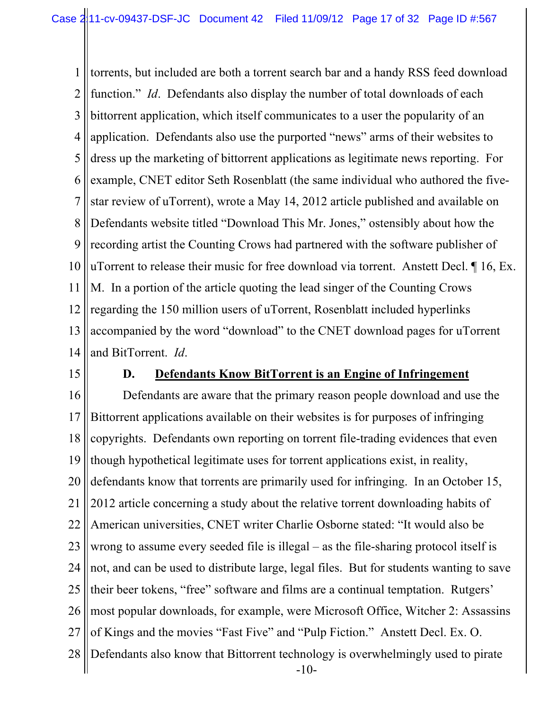1 2 3 4 5 6 7 8 9 10 11 12 13 14 torrents, but included are both a torrent search bar and a handy RSS feed download function." *Id*. Defendants also display the number of total downloads of each bittorrent application, which itself communicates to a user the popularity of an application. Defendants also use the purported "news" arms of their websites to dress up the marketing of bittorrent applications as legitimate news reporting. For example, CNET editor Seth Rosenblatt (the same individual who authored the fivestar review of uTorrent), wrote a May 14, 2012 article published and available on Defendants website titled "Download This Mr. Jones," ostensibly about how the recording artist the Counting Crows had partnered with the software publisher of uTorrent to release their music for free download via torrent. Anstett Decl. ¶ 16, Ex. M. In a portion of the article quoting the lead singer of the Counting Crows regarding the 150 million users of uTorrent, Rosenblatt included hyperlinks accompanied by the word "download" to the CNET download pages for uTorrent and BitTorrent. *Id*.

15

### **D. Defendants Know BitTorrent is an Engine of Infringement**

16 17 18 19 20 21 22 23 24 25 26 27 28  $-10-$ Defendants are aware that the primary reason people download and use the Bittorrent applications available on their websites is for purposes of infringing copyrights. Defendants own reporting on torrent file-trading evidences that even though hypothetical legitimate uses for torrent applications exist, in reality, defendants know that torrents are primarily used for infringing. In an October 15, 2012 article concerning a study about the relative torrent downloading habits of American universities, CNET writer Charlie Osborne stated: "It would also be wrong to assume every seeded file is illegal – as the file-sharing protocol itself is not, and can be used to distribute large, legal files. But for students wanting to save their beer tokens, "free" software and films are a continual temptation. Rutgers' most popular downloads, for example, were Microsoft Office, Witcher 2: Assassins of Kings and the movies "Fast Five" and "Pulp Fiction." Anstett Decl. Ex. O. Defendants also know that Bittorrent technology is overwhelmingly used to pirate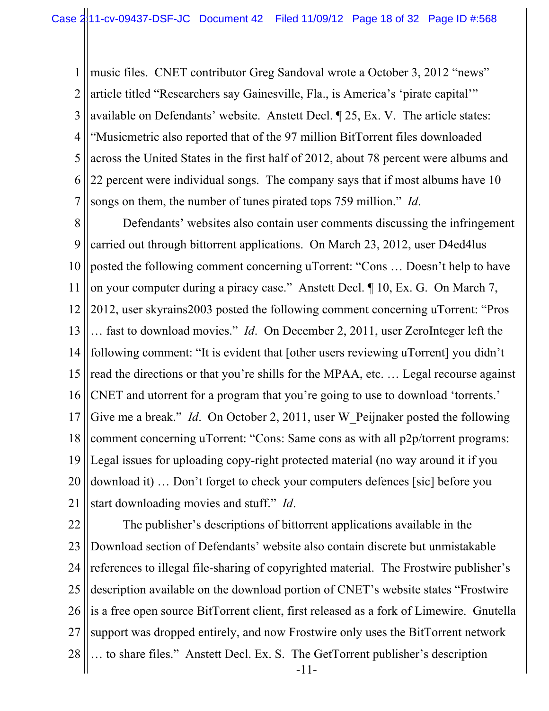1 2 3 4 5 6 7 music files. CNET contributor Greg Sandoval wrote a October 3, 2012 "news" article titled "Researchers say Gainesville, Fla., is America's 'pirate capital'" available on Defendants' website. Anstett Decl. ¶ 25, Ex. V. The article states: "Musicmetric also reported that of the 97 million BitTorrent files downloaded across the United States in the first half of 2012, about 78 percent were albums and 22 percent were individual songs. The company says that if most albums have 10 songs on them, the number of tunes pirated tops 759 million." *Id*.

8 9 10 11 12 13 14 15 16 17 18 19 20 21 Defendants' websites also contain user comments discussing the infringement carried out through bittorrent applications. On March 23, 2012, user D4ed4lus posted the following comment concerning uTorrent: "Cons … Doesn't help to have on your computer during a piracy case." Anstett Decl. ¶ 10, Ex. G. On March 7, 2012, user skyrains2003 posted the following comment concerning uTorrent: "Pros … fast to download movies." *Id*. On December 2, 2011, user ZeroInteger left the following comment: "It is evident that [other users reviewing uTorrent] you didn't read the directions or that you're shills for the MPAA, etc. … Legal recourse against CNET and utorrent for a program that you're going to use to download 'torrents.' Give me a break." *Id*. On October 2, 2011, user W\_Peijnaker posted the following comment concerning uTorrent: "Cons: Same cons as with all p2p/torrent programs: Legal issues for uploading copy-right protected material (no way around it if you download it) … Don't forget to check your computers defences [sic] before you start downloading movies and stuff." *Id*.

22 23 24 25 26 27 28 -11- NOTICE OF MOTION AND MOTION FOR PRELIMINARY INJUNCTION The publisher's descriptions of bittorrent applications available in the Download section of Defendants' website also contain discrete but unmistakable references to illegal file-sharing of copyrighted material. The Frostwire publisher's description available on the download portion of CNET's website states "Frostwire is a free open source BitTorrent client, first released as a fork of Limewire. Gnutella support was dropped entirely, and now Frostwire only uses the BitTorrent network … to share files." Anstett Decl. Ex. S. The GetTorrent publisher's description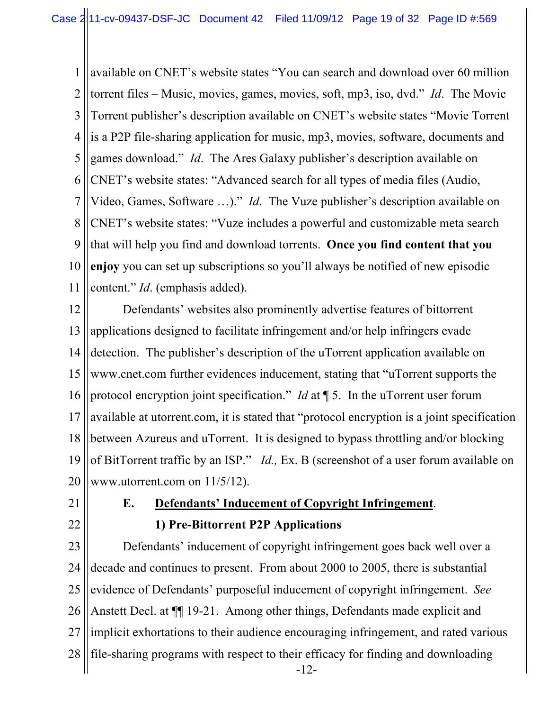1 2 3 4 5 6 7 8 9 10 11 available on CNET's website states "You can search and download over 60 million torrent files – Music, movies, games, movies, soft, mp3, iso, dvd." *Id*. The Movie Torrent publisher's description available on CNET's website states "Movie Torrent is a P2P file-sharing application for music, mp3, movies, software, documents and games download." *Id*. The Ares Galaxy publisher's description available on CNET's website states: "Advanced search for all types of media files (Audio, Video, Games, Software …)." *Id*. The Vuze publisher's description available on CNET's website states: "Vuze includes a powerful and customizable meta search that will help you find and download torrents. **Once you find content that you enjoy** you can set up subscriptions so you'll always be notified of new episodic content." *Id*. (emphasis added).

12 13 14 15 16 17 18 19 20 Defendants' websites also prominently advertise features of bittorrent applications designed to facilitate infringement and/or help infringers evade detection. The publisher's description of the uTorrent application available on www.cnet.com further evidences inducement, stating that "uTorrent supports the protocol encryption joint specification." *Id* at ¶ 5. In the uTorrent user forum available at utorrent.com, it is stated that "protocol encryption is a joint specification between Azureus and uTorrent. It is designed to bypass throttling and/or blocking of BitTorrent traffic by an ISP." *Id.,* Ex. B (screenshot of a user forum available on www.utorrent.com on 11/5/12).

21 22

# **E. Defendants' Inducement of Copyright Infringement**. **1) Pre-Bittorrent P2P Applications**

23 24 25 26 27 28  $-12$ -Defendants' inducement of copyright infringement goes back well over a decade and continues to present. From about 2000 to 2005, there is substantial evidence of Defendants' purposeful inducement of copyright infringement. *See*  Anstett Decl. at  $\P$  19-21. Among other things, Defendants made explicit and implicit exhortations to their audience encouraging infringement, and rated various file-sharing programs with respect to their efficacy for finding and downloading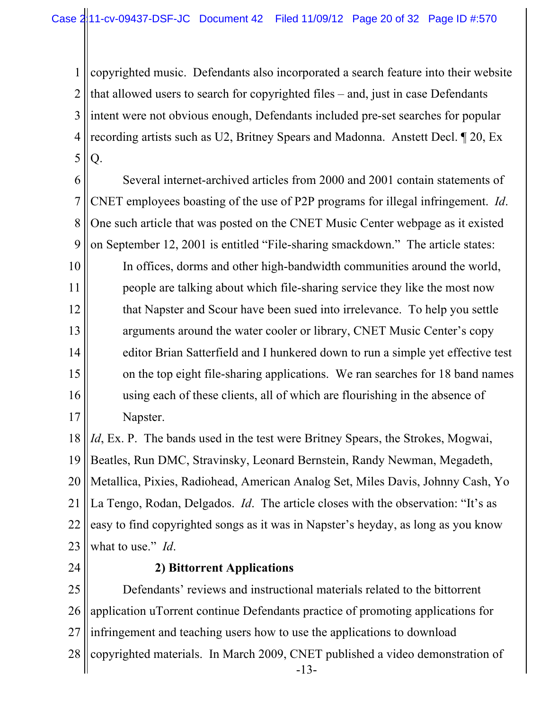1 2 3 4 5 copyrighted music. Defendants also incorporated a search feature into their website that allowed users to search for copyrighted files – and, just in case Defendants intent were not obvious enough, Defendants included pre-set searches for popular recording artists such as U2, Britney Spears and Madonna. Anstett Decl. ¶ 20, Ex Q.

6 7 8 9 Several internet-archived articles from 2000 and 2001 contain statements of CNET employees boasting of the use of P2P programs for illegal infringement. *Id*. One such article that was posted on the CNET Music Center webpage as it existed on September 12, 2001 is entitled "File-sharing smackdown." The article states:

10 11 12 13 14 15 16 17 In offices, dorms and other high-bandwidth communities around the world, people are talking about which file-sharing service they like the most now that Napster and Scour have been sued into irrelevance. To help you settle arguments around the water cooler or library, CNET Music Center's copy editor Brian Satterfield and I hunkered down to run a simple yet effective test on the top eight file-sharing applications. We ran searches for 18 band names using each of these clients, all of which are flourishing in the absence of Napster.

18 19 20 21 22 23 *Id*, Ex. P. The bands used in the test were Britney Spears, the Strokes, Mogwai, Beatles, Run DMC, Stravinsky, Leonard Bernstein, Randy Newman, Megadeth, Metallica, Pixies, Radiohead, American Analog Set, Miles Davis, Johnny Cash, Yo La Tengo, Rodan, Delgados. *Id*. The article closes with the observation: "It's as easy to find copyrighted songs as it was in Napster's heyday, as long as you know what to use." *Id*.

24

### **2) Bittorrent Applications**

25 26 27 28  $-13-$ Defendants' reviews and instructional materials related to the bittorrent application uTorrent continue Defendants practice of promoting applications for infringement and teaching users how to use the applications to download copyrighted materials. In March 2009, CNET published a video demonstration of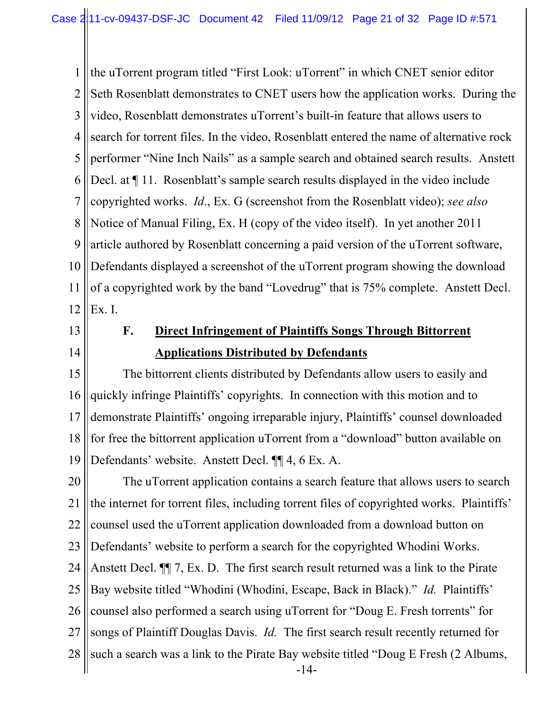1 2 3 4 5 6 7 8 9 10 11 12 the uTorrent program titled "First Look: uTorrent" in which CNET senior editor Seth Rosenblatt demonstrates to CNET users how the application works. During the video, Rosenblatt demonstrates uTorrent's built-in feature that allows users to search for torrent files. In the video, Rosenblatt entered the name of alternative rock performer "Nine Inch Nails" as a sample search and obtained search results. Anstett Decl. at  $\P$  11. Rosenblatt's sample search results displayed in the video include copyrighted works. *Id*., Ex. G (screenshot from the Rosenblatt video); *see also* Notice of Manual Filing, Ex. H (copy of the video itself). In yet another 2011 article authored by Rosenblatt concerning a paid version of the uTorrent software, Defendants displayed a screenshot of the uTorrent program showing the download of a copyrighted work by the band "Lovedrug" that is 75% complete. Anstett Decl. Ex. I.

- 13
- 14

# **F. Direct Infringement of Plaintiffs Songs Through Bittorrent Applications Distributed by Defendants**

15 16 17 18 19 The bittorrent clients distributed by Defendants allow users to easily and quickly infringe Plaintiffs' copyrights. In connection with this motion and to demonstrate Plaintiffs' ongoing irreparable injury, Plaintiffs' counsel downloaded for free the bittorrent application uTorrent from a "download" button available on Defendants' website. Anstett Decl. ¶¶ 4, 6 Ex. A.

20 21 22 23 24 25 26 27 28 || such a search was a link to the Pirate Bay website titled "Doug E Fresh (2 Albums,  $-14-$ The uTorrent application contains a search feature that allows users to search the internet for torrent files, including torrent files of copyrighted works. Plaintiffs' counsel used the uTorrent application downloaded from a download button on Defendants' website to perform a search for the copyrighted Whodini Works. Anstett Decl. ¶¶ 7, Ex. D. The first search result returned was a link to the Pirate Bay website titled "Whodini (Whodini, Escape, Back in Black)." *Id.* Plaintiffs' counsel also performed a search using uTorrent for "Doug E. Fresh torrents" for songs of Plaintiff Douglas Davis. *Id.* The first search result recently returned for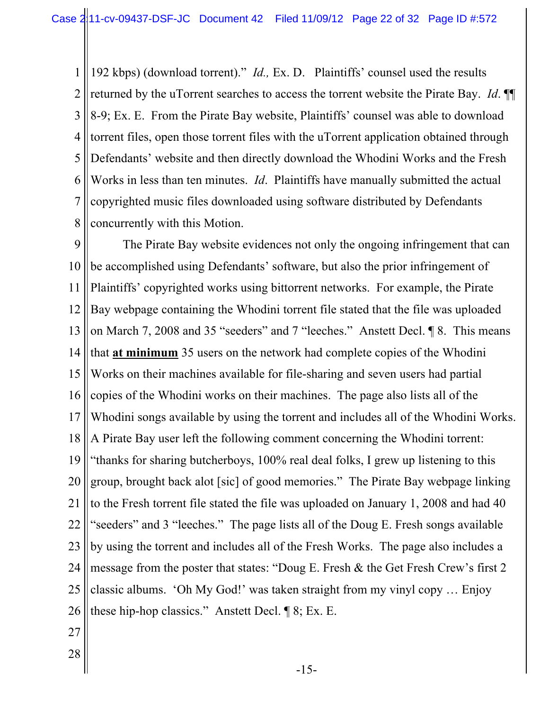1 2 3 4 5 6 7 8 192 kbps) (download torrent)." *Id.,* Ex. D. Plaintiffs' counsel used the results returned by the uTorrent searches to access the torrent website the Pirate Bay. *Id*. ¶¶ 8-9; Ex. E. From the Pirate Bay website, Plaintiffs' counsel was able to download torrent files, open those torrent files with the uTorrent application obtained through Defendants' website and then directly download the Whodini Works and the Fresh Works in less than ten minutes. *Id*. Plaintiffs have manually submitted the actual copyrighted music files downloaded using software distributed by Defendants concurrently with this Motion.

9 10 11 12 13 14 15 16 17 18 19 20 21 22 23 24 25 26 The Pirate Bay website evidences not only the ongoing infringement that can be accomplished using Defendants' software, but also the prior infringement of Plaintiffs' copyrighted works using bittorrent networks. For example, the Pirate Bay webpage containing the Whodini torrent file stated that the file was uploaded on March 7, 2008 and 35 "seeders" and 7 "leeches." Anstett Decl. ¶ 8. This means that **at minimum** 35 users on the network had complete copies of the Whodini Works on their machines available for file-sharing and seven users had partial copies of the Whodini works on their machines. The page also lists all of the Whodini songs available by using the torrent and includes all of the Whodini Works. A Pirate Bay user left the following comment concerning the Whodini torrent: "thanks for sharing butcherboys, 100% real deal folks, I grew up listening to this group, brought back alot [sic] of good memories." The Pirate Bay webpage linking to the Fresh torrent file stated the file was uploaded on January 1, 2008 and had 40 "seeders" and 3 "leeches." The page lists all of the Doug E. Fresh songs available by using the torrent and includes all of the Fresh Works. The page also includes a message from the poster that states: "Doug E. Fresh & the Get Fresh Crew's first 2 classic albums. 'Oh My God!' was taken straight from my vinyl copy … Enjoy these hip-hop classics." Anstett Decl. ¶ 8; Ex. E.

- 27
- 28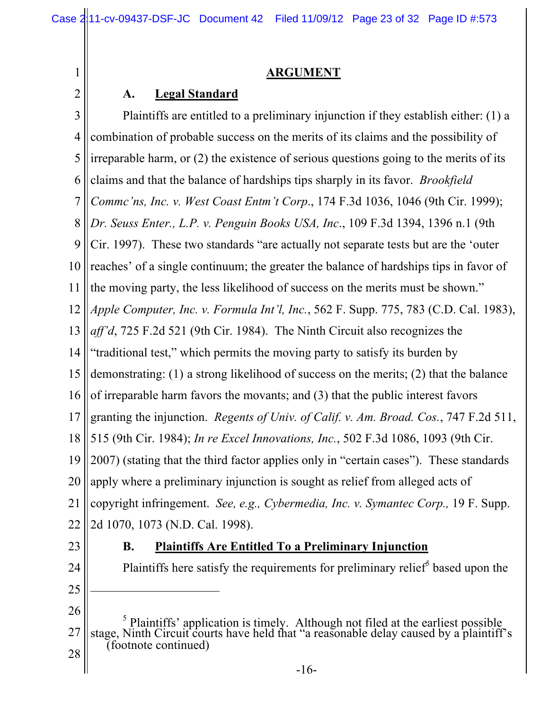### **ARGUMENT**

### **A. Legal Standard**

3 4 5 6 7 8 9 10 11 12 13 14 15 16 17 18 19 20 21 22 23 Plaintiffs are entitled to a preliminary injunction if they establish either: (1) a combination of probable success on the merits of its claims and the possibility of irreparable harm, or (2) the existence of serious questions going to the merits of its claims and that the balance of hardships tips sharply in its favor. *Brookfield Commc'ns, Inc. v. West Coast Entm't Corp*., 174 F.3d 1036, 1046 (9th Cir. 1999); *Dr. Seuss Enter., L.P. v. Penguin Books USA, Inc*., 109 F.3d 1394, 1396 n.1 (9th Cir. 1997). These two standards "are actually not separate tests but are the 'outer reaches' of a single continuum; the greater the balance of hardships tips in favor of the moving party, the less likelihood of success on the merits must be shown." *Apple Computer, Inc. v. Formula Int'l, Inc.*, 562 F. Supp. 775, 783 (C.D. Cal. 1983), *aff'd*, 725 F.2d 521 (9th Cir. 1984). The Ninth Circuit also recognizes the "traditional test," which permits the moving party to satisfy its burden by demonstrating: (1) a strong likelihood of success on the merits; (2) that the balance of irreparable harm favors the movants; and (3) that the public interest favors granting the injunction. *Regents of Univ. of Calif. v. Am. Broad. Cos.*, 747 F.2d 511, 515 (9th Cir. 1984); *In re Excel Innovations, Inc.*, 502 F.3d 1086, 1093 (9th Cir. 2007) (stating that the third factor applies only in "certain cases"). These standards apply where a preliminary injunction is sought as relief from alleged acts of copyright infringement. *See, e.g., Cybermedia, Inc. v. Symantec Corp.,* 19 F. Supp. 2d 1070, 1073 (N.D. Cal. 1998). **B. Plaintiffs Are Entitled To a Preliminary Injunction** Plaintiffs here satisfy the requirements for preliminary relief<sup> $5$ </sup> based upon the

24 25

1

- 26  $\overline{a}$
- 27 28 <sup>5</sup> Plaintiffs' application is timely. Although not filed at the earliest possible stage, Ninth Circuit courts have held that "a reasonable delay caused by a plaintiff's (footnote continued)
	- $-16$ -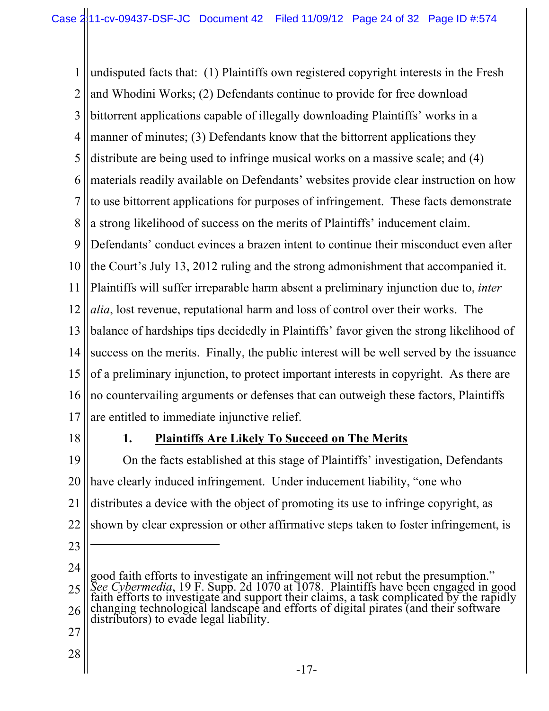1 2 3 4 5 6 7 8 9 10 11 12 13 14 15 16 17 undisputed facts that: (1) Plaintiffs own registered copyright interests in the Fresh and Whodini Works; (2) Defendants continue to provide for free download bittorrent applications capable of illegally downloading Plaintiffs' works in a manner of minutes; (3) Defendants know that the bittorrent applications they distribute are being used to infringe musical works on a massive scale; and (4) materials readily available on Defendants' websites provide clear instruction on how to use bittorrent applications for purposes of infringement. These facts demonstrate a strong likelihood of success on the merits of Plaintiffs' inducement claim. Defendants' conduct evinces a brazen intent to continue their misconduct even after the Court's July 13, 2012 ruling and the strong admonishment that accompanied it. Plaintiffs will suffer irreparable harm absent a preliminary injunction due to, *inter alia*, lost revenue, reputational harm and loss of control over their works. The balance of hardships tips decidedly in Plaintiffs' favor given the strong likelihood of success on the merits. Finally, the public interest will be well served by the issuance of a preliminary injunction, to protect important interests in copyright. As there are no countervailing arguments or defenses that can outweigh these factors, Plaintiffs are entitled to immediate injunctive relief.

18

# **1. Plaintiffs Are Likely To Succeed on The Merits**

19 20 21 22 On the facts established at this stage of Plaintiffs' investigation, Defendants have clearly induced infringement. Under inducement liability, "one who distributes a device with the object of promoting its use to infringe copyright, as shown by clear expression or other affirmative steps taken to foster infringement, is

23

 $\overline{a}$ 

- 27
- 28

<sup>24</sup> 25 26 good faith efforts to investigate an infringement will not rebut the presumption."<br>See Cybermedia, 19 F. Supp. 2d 1070 at 1078. Plaintiffs have been engaged in good<br>faith efforts to investigate and support their claims, a distributors) to evade legal liability.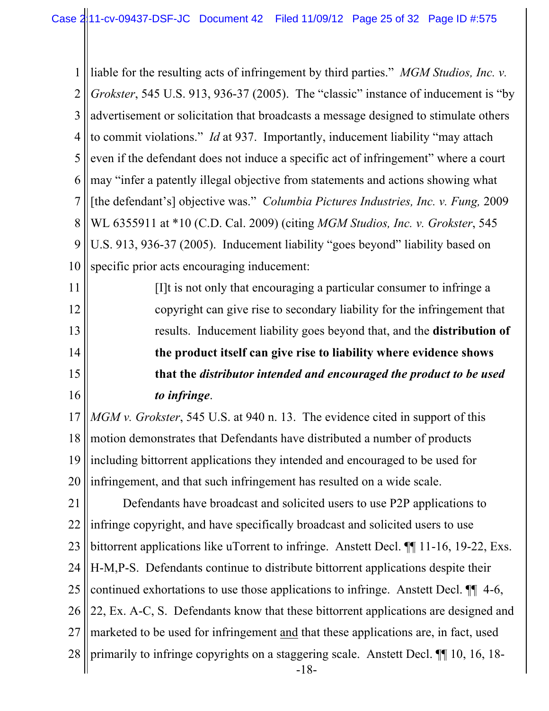1 2 3 4 5 6 7 8 9 10 liable for the resulting acts of infringement by third parties." *MGM Studios, Inc. v. Grokster*, 545 U.S. 913, 936-37 (2005). The "classic" instance of inducement is "by advertisement or solicitation that broadcasts a message designed to stimulate others to commit violations." *Id* at 937. Importantly, inducement liability "may attach even if the defendant does not induce a specific act of infringement" where a court may "infer a patently illegal objective from statements and actions showing what [the defendant's] objective was." *Columbia Pictures Industries, Inc. v. Fung,* 2009 WL 6355911 at \*10 (C.D. Cal. 2009) (citing *MGM Studios, Inc. v. Grokster*, 545 U.S. 913, 936-37 (2005). Inducement liability "goes beyond" liability based on specific prior acts encouraging inducement:

11 12 13 14 15 16 [I]t is not only that encouraging a particular consumer to infringe a copyright can give rise to secondary liability for the infringement that results. Inducement liability goes beyond that, and the **distribution of the product itself can give rise to liability where evidence shows that the** *distributor intended and encouraged the product to be used to infringe*.

17 18 19 20 *MGM v. Grokster*, 545 U.S. at 940 n. 13. The evidence cited in support of this motion demonstrates that Defendants have distributed a number of products including bittorrent applications they intended and encouraged to be used for infringement, and that such infringement has resulted on a wide scale.

21 22 23 24 25 26 27 28  $-18$ -Defendants have broadcast and solicited users to use P2P applications to infringe copyright, and have specifically broadcast and solicited users to use bittorrent applications like uTorrent to infringe. Anstett Decl. ¶¶ 11-16, 19-22, Exs. H-M,P-S. Defendants continue to distribute bittorrent applications despite their continued exhortations to use those applications to infringe. Anstett Decl. ¶¶ 4-6, 22, Ex. A-C, S. Defendants know that these bittorrent applications are designed and marketed to be used for infringement and that these applications are, in fact, used primarily to infringe copyrights on a staggering scale. Anstett Decl. ¶¶ 10, 16, 18-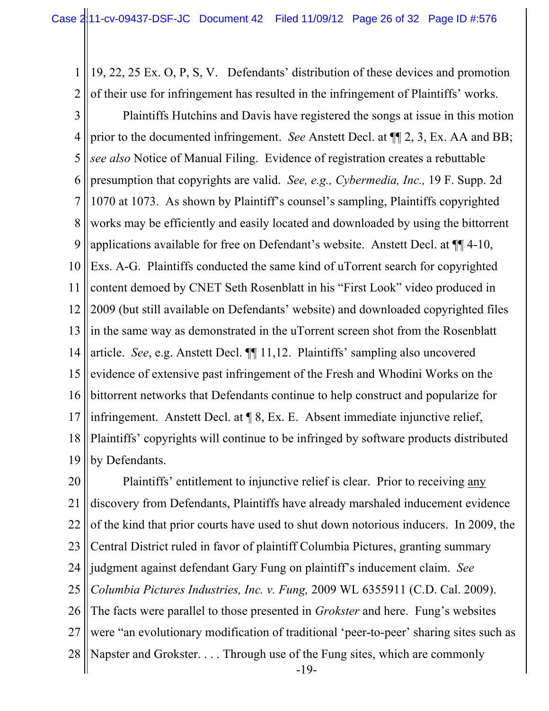1 2 19, 22, 25 Ex. O, P, S, V. Defendants' distribution of these devices and promotion of their use for infringement has resulted in the infringement of Plaintiffs' works.

3 4 5 6 7 8 9 10 11 12 13 14 15 16 17 18 19 Plaintiffs Hutchins and Davis have registered the songs at issue in this motion prior to the documented infringement. *See* Anstett Decl. at ¶¶ 2, 3, Ex. AA and BB; *see also* Notice of Manual Filing. Evidence of registration creates a rebuttable presumption that copyrights are valid. *See, e.g., Cybermedia, Inc.,* 19 F. Supp. 2d 1070 at 1073. As shown by Plaintiff's counsel's sampling, Plaintiffs copyrighted works may be efficiently and easily located and downloaded by using the bittorrent applications available for free on Defendant's website. Anstett Decl. at ¶¶ 4-10, Exs. A-G. Plaintiffs conducted the same kind of uTorrent search for copyrighted content demoed by CNET Seth Rosenblatt in his "First Look" video produced in 2009 (but still available on Defendants' website) and downloaded copyrighted files in the same way as demonstrated in the uTorrent screen shot from the Rosenblatt article. *See*, e.g. Anstett Decl. ¶¶ 11,12. Plaintiffs' sampling also uncovered evidence of extensive past infringement of the Fresh and Whodini Works on the bittorrent networks that Defendants continue to help construct and popularize for infringement. Anstett Decl. at ¶ 8, Ex. E. Absent immediate injunctive relief, Plaintiffs' copyrights will continue to be infringed by software products distributed by Defendants.

20 21 22 23 24 25 26 27 28 Napster and Grokster. . . . Through use of the Fung sites, which are commonly  $-19-$ Plaintiffs' entitlement to injunctive relief is clear. Prior to receiving any discovery from Defendants, Plaintiffs have already marshaled inducement evidence of the kind that prior courts have used to shut down notorious inducers. In 2009, the Central District ruled in favor of plaintiff Columbia Pictures, granting summary judgment against defendant Gary Fung on plaintiff's inducement claim. *See Columbia Pictures Industries, Inc. v. Fung,* 2009 WL 6355911 (C.D. Cal. 2009). The facts were parallel to those presented in *Grokster* and here. Fung's websites were "an evolutionary modification of traditional 'peer-to-peer' sharing sites such as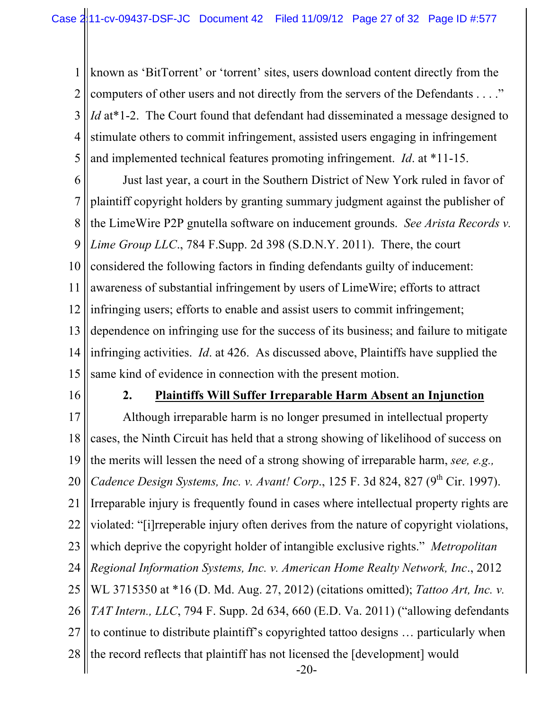1 2 3 4 5 known as 'BitTorrent' or 'torrent' sites, users download content directly from the computers of other users and not directly from the servers of the Defendants . . . ." *Id* at<sup>\*</sup>1-2. The Court found that defendant had disseminated a message designed to stimulate others to commit infringement, assisted users engaging in infringement and implemented technical features promoting infringement. *Id*. at \*11-15.

6 7 8 9 10 11 12 13 14 15 Just last year, a court in the Southern District of New York ruled in favor of plaintiff copyright holders by granting summary judgment against the publisher of the LimeWire P2P gnutella software on inducement grounds. *See Arista Records v. Lime Group LLC*., 784 F.Supp. 2d 398 (S.D.N.Y. 2011). There, the court considered the following factors in finding defendants guilty of inducement: awareness of substantial infringement by users of LimeWire; efforts to attract infringing users; efforts to enable and assist users to commit infringement; dependence on infringing use for the success of its business; and failure to mitigate infringing activities. *Id*. at 426. As discussed above, Plaintiffs have supplied the same kind of evidence in connection with the present motion.

16

#### **2. Plaintiffs Will Suffer Irreparable Harm Absent an Injunction**

17 18 19 20 21 22 23 24 25 26 27 28  $-20-$ Although irreparable harm is no longer presumed in intellectual property cases, the Ninth Circuit has held that a strong showing of likelihood of success on the merits will lessen the need of a strong showing of irreparable harm, *see, e.g., Cadence Design Systems, Inc. v. Avant! Corp.*, 125 F. 3d 824, 827 (9<sup>th</sup> Cir. 1997). Irreparable injury is frequently found in cases where intellectual property rights are violated: "[i]rreperable injury often derives from the nature of copyright violations, which deprive the copyright holder of intangible exclusive rights." *Metropolitan Regional Information Systems, Inc. v. American Home Realty Network, Inc*., 2012 WL 3715350 at \*16 (D. Md. Aug. 27, 2012) (citations omitted); *Tattoo Art, Inc. v. TAT Intern., LLC*, 794 F. Supp. 2d 634, 660 (E.D. Va. 2011) ("allowing defendants to continue to distribute plaintiff's copyrighted tattoo designs … particularly when the record reflects that plaintiff has not licensed the [development] would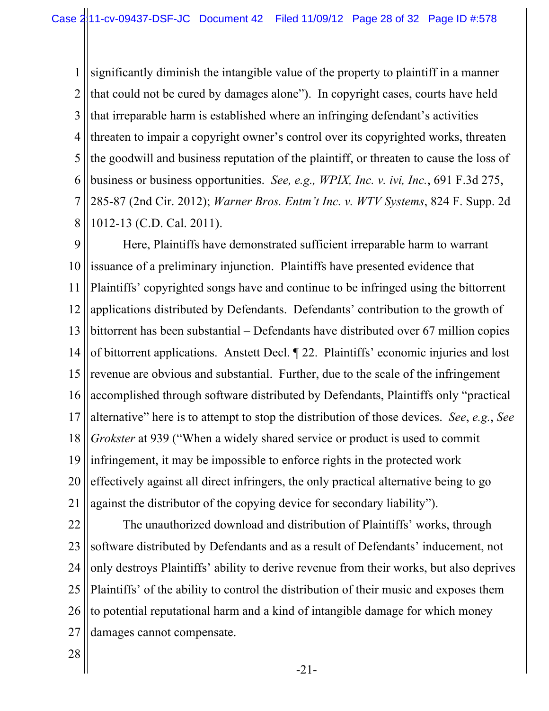1 2 3 4 5 6 7 8 significantly diminish the intangible value of the property to plaintiff in a manner that could not be cured by damages alone"). In copyright cases, courts have held that irreparable harm is established where an infringing defendant's activities threaten to impair a copyright owner's control over its copyrighted works, threaten the goodwill and business reputation of the plaintiff, or threaten to cause the loss of business or business opportunities. *See, e.g., WPIX, Inc. v. ivi, Inc.*, 691 F.3d 275, 285-87 (2nd Cir. 2012); *Warner Bros. Entm't Inc. v. WTV Systems*, 824 F. Supp. 2d 1012-13 (C.D. Cal. 2011).

9 10 11 12 13 14 15 16 17 18 19 20 21 Here, Plaintiffs have demonstrated sufficient irreparable harm to warrant issuance of a preliminary injunction. Plaintiffs have presented evidence that Plaintiffs' copyrighted songs have and continue to be infringed using the bittorrent applications distributed by Defendants. Defendants' contribution to the growth of bittorrent has been substantial – Defendants have distributed over 67 million copies of bittorrent applications. Anstett Decl. ¶ 22. Plaintiffs' economic injuries and lost revenue are obvious and substantial. Further, due to the scale of the infringement accomplished through software distributed by Defendants, Plaintiffs only "practical alternative" here is to attempt to stop the distribution of those devices. *See*, *e.g.*, *See Grokster* at 939 ("When a widely shared service or product is used to commit infringement, it may be impossible to enforce rights in the protected work effectively against all direct infringers, the only practical alternative being to go against the distributor of the copying device for secondary liability").

22 23 24 25 26 27 The unauthorized download and distribution of Plaintiffs' works, through software distributed by Defendants and as a result of Defendants' inducement, not only destroys Plaintiffs' ability to derive revenue from their works, but also deprives Plaintiffs' of the ability to control the distribution of their music and exposes them to potential reputational harm and a kind of intangible damage for which money damages cannot compensate.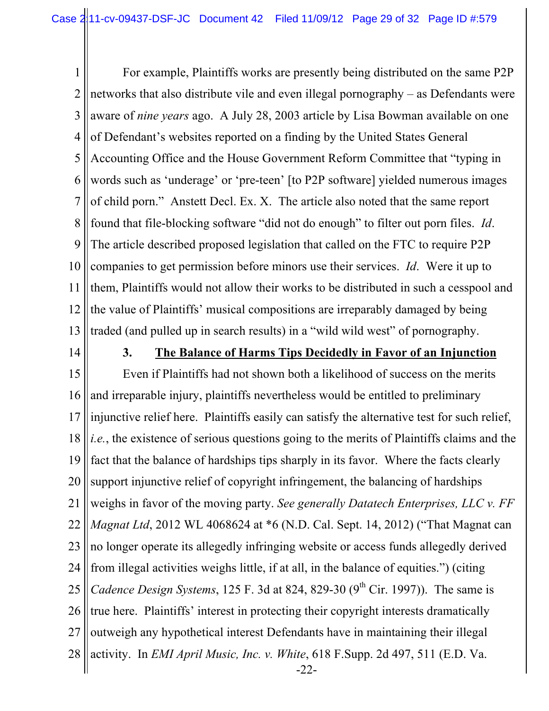1 2 3 4 5 6 7 8 9 10 11 12 13 For example, Plaintiffs works are presently being distributed on the same P2P networks that also distribute vile and even illegal pornography – as Defendants were aware of *nine years* ago. A July 28, 2003 article by Lisa Bowman available on one of Defendant's websites reported on a finding by the United States General Accounting Office and the House Government Reform Committee that "typing in words such as 'underage' or 'pre-teen' [to P2P software] yielded numerous images of child porn." Anstett Decl. Ex. X. The article also noted that the same report found that file-blocking software "did not do enough" to filter out porn files. *Id*. The article described proposed legislation that called on the FTC to require P2P companies to get permission before minors use their services. *Id*. Were it up to them, Plaintiffs would not allow their works to be distributed in such a cesspool and the value of Plaintiffs' musical compositions are irreparably damaged by being traded (and pulled up in search results) in a "wild wild west" of pornography.

14

### **3. The Balance of Harms Tips Decidedly in Favor of an Injunction**

15 16 17 18 19 20 21 22 23 24 25 26 27 28  $-22$ -Even if Plaintiffs had not shown both a likelihood of success on the merits and irreparable injury, plaintiffs nevertheless would be entitled to preliminary injunctive relief here. Plaintiffs easily can satisfy the alternative test for such relief, *i.e.*, the existence of serious questions going to the merits of Plaintiffs claims and the fact that the balance of hardships tips sharply in its favor. Where the facts clearly support injunctive relief of copyright infringement, the balancing of hardships weighs in favor of the moving party. *See generally Datatech Enterprises, LLC v. FF Magnat Ltd*, 2012 WL 4068624 at \*6 (N.D. Cal. Sept. 14, 2012) ("That Magnat can no longer operate its allegedly infringing website or access funds allegedly derived from illegal activities weighs little, if at all, in the balance of equities.") (citing *Cadence Design Systems*, 125 F. 3d at 824, 829-30  $(9^{th}$  Cir. 1997)). The same is true here. Plaintiffs' interest in protecting their copyright interests dramatically outweigh any hypothetical interest Defendants have in maintaining their illegal activity. In *EMI April Music, Inc. v. White*, 618 F.Supp. 2d 497, 511 (E.D. Va.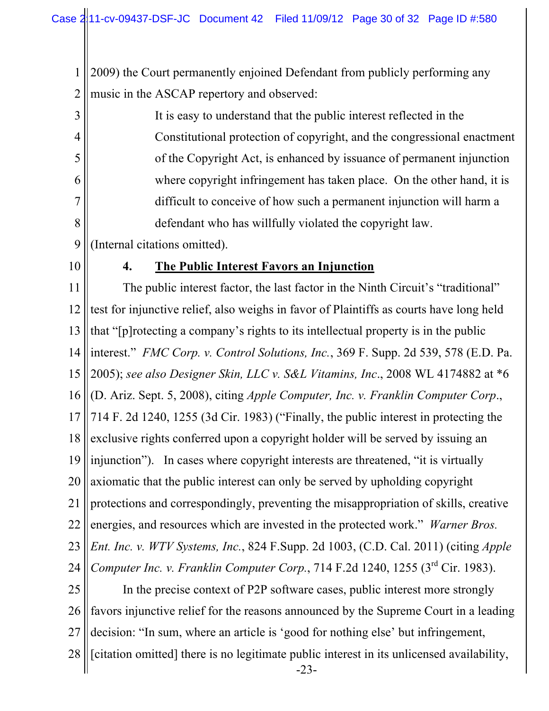1 2 2009) the Court permanently enjoined Defendant from publicly performing any music in the ASCAP repertory and observed:

3 4 5 6 7 8 It is easy to understand that the public interest reflected in the Constitutional protection of copyright, and the congressional enactment of the Copyright Act, is enhanced by issuance of permanent injunction where copyright infringement has taken place. On the other hand, it is difficult to conceive of how such a permanent injunction will harm a defendant who has willfully violated the copyright law.

- 9 (Internal citations omitted).
- 10

## **4. The Public Interest Favors an Injunction**

11 12 13 14 15 16 17 18 19 20 21 22 23 24 25 The public interest factor, the last factor in the Ninth Circuit's "traditional" test for injunctive relief, also weighs in favor of Plaintiffs as courts have long held that "[p]rotecting a company's rights to its intellectual property is in the public interest." *FMC Corp. v. Control Solutions, Inc.*, 369 F. Supp. 2d 539, 578 (E.D. Pa. 2005); *see also Designer Skin, LLC v. S&L Vitamins, Inc*., 2008 WL 4174882 at \*6 (D. Ariz. Sept. 5, 2008), citing *Apple Computer, Inc. v. Franklin Computer Corp*., 714 F. 2d 1240, 1255 (3d Cir. 1983) ("Finally, the public interest in protecting the exclusive rights conferred upon a copyright holder will be served by issuing an injunction"). In cases where copyright interests are threatened, "it is virtually axiomatic that the public interest can only be served by upholding copyright protections and correspondingly, preventing the misappropriation of skills, creative energies, and resources which are invested in the protected work." *Warner Bros. Ent. Inc. v. WTV Systems, Inc.*, 824 F.Supp. 2d 1003, (C.D. Cal. 2011) (citing *Apple Computer Inc. v. Franklin Computer Corp.*, 714 F.2d 1240, 1255 (3<sup>rd</sup> Cir. 1983). In the precise context of P2P software cases, public interest more strongly

26 27 favors injunctive relief for the reasons announced by the Supreme Court in a leading decision: "In sum, where an article is 'good for nothing else' but infringement,

28 [citation omitted] there is no legitimate public interest in its unlicensed availability,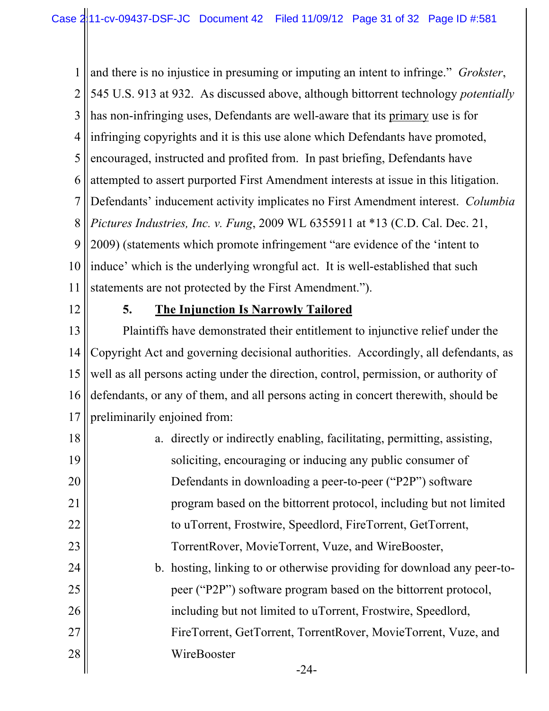1 2 3 4 5 6 7 8 9 10 11 and there is no injustice in presuming or imputing an intent to infringe." *Grokster*, 545 U.S. 913 at 932. As discussed above, although bittorrent technology *potentially* has non-infringing uses, Defendants are well-aware that its primary use is for infringing copyrights and it is this use alone which Defendants have promoted, encouraged, instructed and profited from. In past briefing, Defendants have attempted to assert purported First Amendment interests at issue in this litigation. Defendants' inducement activity implicates no First Amendment interest. *Columbia Pictures Industries, Inc. v. Fung*, 2009 WL 6355911 at \*13 (C.D. Cal. Dec. 21, 2009) (statements which promote infringement "are evidence of the 'intent to induce' which is the underlying wrongful act. It is well-established that such statements are not protected by the First Amendment.").

12

## **5. The Injunction Is Narrowly Tailored**

13 14 15 16 17 Plaintiffs have demonstrated their entitlement to injunctive relief under the Copyright Act and governing decisional authorities. Accordingly, all defendants, as well as all persons acting under the direction, control, permission, or authority of defendants, or any of them, and all persons acting in concert therewith, should be preliminarily enjoined from:

18 19 20 21 22 23 24 25 26 27 28  $-24$ a. directly or indirectly enabling, facilitating, permitting, assisting, soliciting, encouraging or inducing any public consumer of Defendants in downloading a peer-to-peer ("P2P") software program based on the bittorrent protocol, including but not limited to uTorrent, Frostwire, Speedlord, FireTorrent, GetTorrent, TorrentRover, MovieTorrent, Vuze, and WireBooster, b. hosting, linking to or otherwise providing for download any peer-topeer ("P2P") software program based on the bittorrent protocol, including but not limited to uTorrent, Frostwire, Speedlord, FireTorrent, GetTorrent, TorrentRover, MovieTorrent, Vuze, and WireBooster